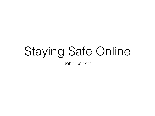# Staying Safe Online

John Becker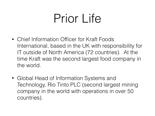### Prior Life

- Chief Information Officer for Kraft Foods International, based in the UK with responsibility for IT outside of North America (72 countries). At the time Kraft was the second largest food company in the world.
- Global Head of Information Systems and Technology, Rio Tinto PLC (second largest mining company in the world with operations in over 50 countries).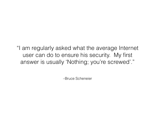"I am regularly asked what the average Internet user can do to ensure his security. My first answer is usually 'Nothing; you're screwed'."

–Bruce Scheneier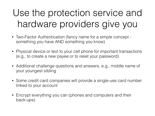#### Use the protection service and hardware providers give you

- Two-Factor Authentication (fancy name for a simple concept something you have AND something you know)
- Physical device or text to your cell phone for important transactions (e.g., to create a new payee or to reset your password)
- Additional challenge questions and answers, e.g., middle name of your youngest sibling
- Some credit card companies will provide a single-use card number linked to your account
- Encrypt everything you can (phones and computers and their back-ups)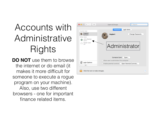#### Accounts with Administrative Rights

**DO NOT** use them to browse the internet or do email (it makes it more difficult for someone to execute a rogue program on your machine). Also, use two different browsers - one for important finance related items.

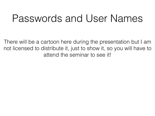#### Passwords and User Names

There will be a cartoon here during the presentation but I am not licensed to distribute it, just to show it, so you will have to attend the seminar to see it!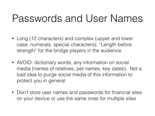#### Passwords and User Names

- Long (12 characters) and complex (upper and lower case, numerals, special characters); "Length before strength" for the bridge players in the audience
- AVOID: dictionary words, any information on social media (names of relatives, pet names, key dates). Not a bad idea to purge social media of this information to protect you in general.
- Don't store user names and passwords for financial sites on your device or use the same ones for multiple sites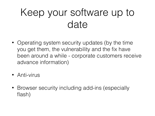#### Keep your software up to date

- Operating system security updates (by the time you get them, the vulnerability and the fix have been around a while - corporate customers receive advance information)
- Anti-virus
- Browser security including add-ins (especially flash)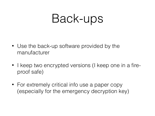### Back-ups

- Use the back-up software provided by the manufacturer
- I keep two encrypted versions (I keep one in a fireproof safe)
- For extremely critical info use a paper copy (especially for the emergency decryption key)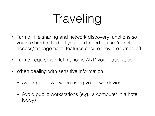# Traveling

- Turn off file sharing and network discovery functions so you are hard to find. If you don't need to use "remote access/management" features ensure they are turned off.
- Turn off equipment left at home AND your base station
- When dealing with sensitive information:
	- Avoid public wifi when using your own device
	- Avoid public workstations (e.g., a computer in a hotel lobby)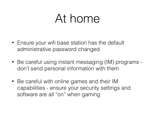### At home

- Ensure your wifi base station has the default administrative password changed
- Be careful using instant messaging (IM) programs don't send personal information with them
- Be careful with online games and their IM capabilities - ensure your security settings and software are all "on" when gaming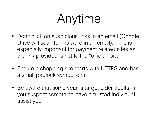## Anytime

- Don't click on suspicious links in an email (Google Drive will scan for malware in an email). This is especially important for payment related sites as the link provided is not to the "official" site
- Ensure a shopping site starts with HTTPS and has a small padlock symbol on it
- Be aware that some scams target older adults if you suspect something have a trusted individual assist you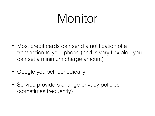### Monitor

- Most credit cards can send a notification of a transaction to your phone (and is very flexible - you can set a minimum charge amount)
- Google yourself periodically
- Service providers change privacy policies (sometimes frequently)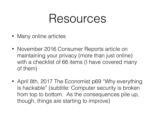### Resources

- Many online articles
- November 2016 Consumer Reports article on maintaining your privacy (more than just online) with a checklist of 66 items (I have covered many of them)
- April 8th, 2017 The Economist p69 "Why everything is hackable" (subtitle: Computer security is broken from top to bottom. As the consequences pile up, though, things are starting to improve)